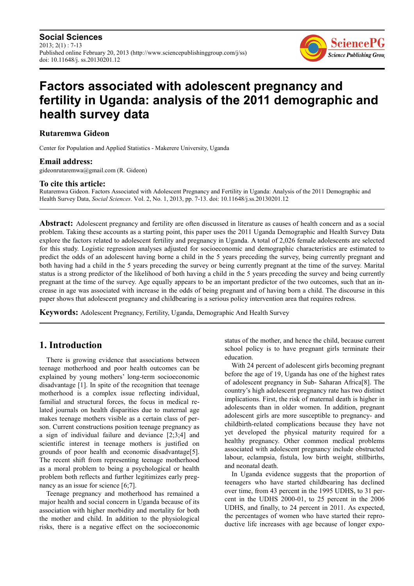**Social Sciences**  $2013$ ;  $2(1)$  : 7-13 Published online February 20, 2013 (http://www.sciencepublishinggroup.com/j/ss) doi: 10.11648/j. ss.20130201.12



# **Factors associated with adolescent pregnancy and fertility in Uganda: analysis of the 2011 demographic and health survey data**

#### **Rutaremwa Gideon**

Center for Population and Applied Statistics - Makerere University, Uganda

#### **Email address:**

gideonrutaremwa@gmail.com (R. Gideon)

#### **To cite this article:**

Rutaremwa Gideon. Factors Associated with Adolescent Pregnancy and Fertility in Uganda: Analysis of the 2011 Demographic and Health Survey Data, *Social Sciences*. Vol. 2, No. 1, 2013, pp. 7-13. doi: 10.11648/j.ss.20130201.12

**Abstract:** Adolescent pregnancy and fertility are often discussed in literature as causes of health concern and as a social problem. Taking these accounts as a starting point, this paper uses the 2011 Uganda Demographic and Health Survey Data explore the factors related to adolescent fertility and pregnancy in Uganda. A total of 2,026 female adolescents are selected for this study. Logistic regression analyses adjusted for socioeconomic and demographic characteristics are estimated to predict the odds of an adolescent having borne a child in the 5 years preceding the survey, being currently pregnant and both having had a child in the 5 years preceding the survey or being currently pregnant at the time of the survey. Marital status is a strong predictor of the likelihood of both having a child in the 5 years preceding the survey and being currently pregnant at the time of the survey. Age equally appears to be an important predictor of the two outcomes, such that an increase in age was associated with increase in the odds of being pregnant and of having born a child. The discourse in this paper shows that adolescent pregnancy and childbearing is a serious policy intervention area that requires redress.

**Keywords:** Adolescent Pregnancy, Fertility, Uganda, Demographic And Health Survey

### **1. Introduction**

There is growing evidence that associations between teenage motherhood and poor health outcomes can be explained by young mothers' long-term socioeconomic disadvantage [1]. In spite of the recognition that teenage motherhood is a complex issue reflecting individual, familial and structural forces, the focus in medical related journals on health disparities due to maternal age makes teenage mothers visible as a certain class of person. Current constructions position teenage pregnancy as a sign of individual failure and deviance [2;3;4] and scientific interest in teenage mothers is justified on grounds of poor health and economic disadvantage[5]. The recent shift from representing teenage motherhood as a moral problem to being a psychological or health problem both reflects and further legitimizes early pregnancy as an issue for science [6;7].

Teenage pregnancy and motherhood has remained a major health and social concern in Uganda because of its association with higher morbidity and mortality for both the mother and child. In addition to the physiological risks, there is a negative effect on the socioeconomic

status of the mother, and hence the child, because current school policy is to have pregnant girls terminate their education.

With 24 percent of adolescent girls becoming pregnant before the age of 19, Uganda has one of the highest rates of adolescent pregnancy in Sub- Saharan Africa[8]. The country's high adolescent pregnancy rate has two distinct implications. First, the risk of maternal death is higher in adolescents than in older women. In addition, pregnant adolescent girls are more susceptible to pregnancy- and childbirth-related complications because they have not yet developed the physical maturity required for a healthy pregnancy. Other common medical problems associated with adolescent pregnancy include obstructed labour, eclampsia, fistula, low birth weight, stillbirths, and neonatal death.

In Uganda evidence suggests that the proportion of teenagers who have started childbearing has declined over time, from 43 percent in the 1995 UDHS, to 31 percent in the UDHS 2000-01, to 25 percent in the 2006 UDHS, and finally, to 24 percent in 2011. As expected, the percentages of women who have started their reproductive life increases with age because of longer expo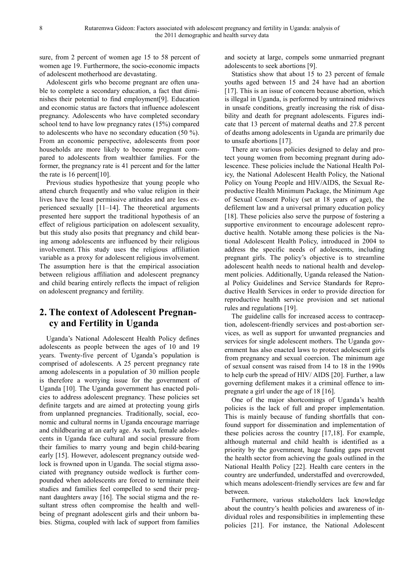sure, from 2 percent of women age 15 to 58 percent of women age 19. Furthermore, the socio-economic impacts of adolescent motherhood are devastating.

Adolescent girls who become pregnant are often unable to complete a secondary education, a fact that diminishes their potential to find employment[9]. Education and economic status are factors that influence adolescent pregnancy. Adolescents who have completed secondary school tend to have low pregnancy rates (15%) compared to adolescents who have no secondary education (50 %). From an economic perspective, adolescents from poor households are more likely to become pregnant compared to adolescents from wealthier families. For the former, the pregnancy rate is 41 percent and for the latter the rate is 16 percent[10].

Previous studies hypothesize that young people who attend church frequently and who value religion in their lives have the least permissive attitudes and are less experienced sexually [11–14]. The theoretical arguments presented here support the traditional hypothesis of an effect of religious participation on adolescent sexuality, but this study also posits that pregnancy and child bearing among adolescents are influenced by their religious involvement. This study uses the religious affiliation variable as a proxy for adolescent religious involvement. The assumption here is that the empirical association between religious affiliation and adolescent pregnancy and child bearing entirely reflects the impact of religion on adolescent pregnancy and fertility.

# **2. The context of Adolescent Pregnancy and Fertility in Uganda**

Uganda's National Adolescent Health Policy defines adolescents as people between the ages of 10 and 19 years. Twenty-five percent of Uganda's population is comprised of adolescents. A 25 percent pregnancy rate among adolescents in a population of 30 million people is therefore a worrying issue for the government of Uganda [10]. The Uganda government has enacted policies to address adolescent pregnancy. These policies set definite targets and are aimed at protecting young girls from unplanned pregnancies. Traditionally, social, economic and cultural norms in Uganda encourage marriage and childbearing at an early age. As such, female adolescents in Uganda face cultural and social pressure from their families to marry young and begin child-bearing early [15]. However, adolescent pregnancy outside wedlock is frowned upon in Uganda. The social stigma associated with pregnancy outside wedlock is further compounded when adolescents are forced to terminate their studies and families feel compelled to send their pregnant daughters away [16]. The social stigma and the resultant stress often compromise the health and wellbeing of pregnant adolescent girls and their unborn babies. Stigma, coupled with lack of support from families

and society at large, compels some unmarried pregnant adolescents to seek abortions [9].

Statistics show that about 15 to 23 percent of female youths aged between 15 and 24 have had an abortion [17]. This is an issue of concern because abortion, which is illegal in Uganda, is performed by untrained midwives in unsafe conditions, greatly increasing the risk of disability and death for pregnant adolescents. Figures indicate that 13 percent of maternal deaths and 27.8 percent of deaths among adolescents in Uganda are primarily due to unsafe abortions [17].

There are various policies designed to delay and protect young women from becoming pregnant during adolescence. These policies include the National Health Policy, the National Adolescent Health Policy, the National Policy on Young People and HIV/AIDS, the Sexual Reproductive Health Minimum Package, the Minimum Age of Sexual Consent Policy (set at 18 years of age), the defilement law and a universal primary education policy [18]. These policies also serve the purpose of fostering a supportive environment to encourage adolescent reproductive health. Notable among these policies is the National Adolescent Health Policy, introduced in 2004 to address the specific needs of adolescents, including pregnant girls. The policy's objective is to streamline adolescent health needs to national health and development policies. Additionally, Uganda released the National Policy Guidelines and Service Standards for Reproductive Health Services in order to provide direction for reproductive health service provision and set national rules and regulations [19].

The guideline calls for increased access to contraception, adolescent-friendly services and post-abortion services, as well as support for unwanted pregnancies and services for single adolescent mothers. The Uganda government has also enacted laws to protect adolescent girls from pregnancy and sexual coercion. The minimum age of sexual consent was raised from 14 to 18 in the 1990s to help curb the spread of HIV/ AIDS [20]. Further, a law governing defilement makes it a criminal offence to impregnate a girl under the age of 18 [16].

One of the major shortcomings of Uganda's health policies is the lack of full and proper implementation. This is mainly because of funding shortfalls that confound support for dissemination and implementation of these policies across the country [17,18]. For example, although maternal and child health is identified as a priority by the government, huge funding gaps prevent the health sector from achieving the goals outlined in the National Health Policy [22]. Health care centers in the country are underfunded, understaffed and overcrowded, which means adolescent-friendly services are few and far between.

Furthermore, various stakeholders lack knowledge about the country's health policies and awareness of individual roles and responsibilities in implementing these policies [21]. For instance, the National Adolescent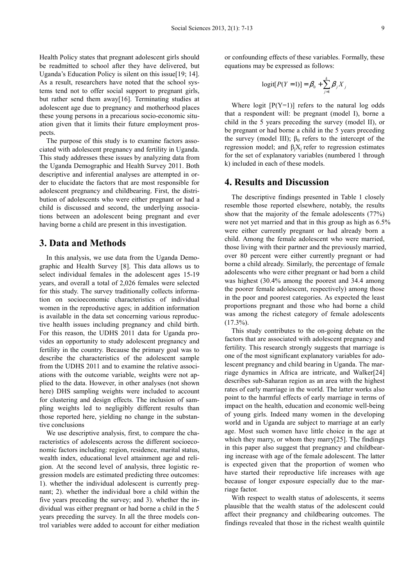Health Policy states that pregnant adolescent girls should be readmitted to school after they have delivered, but Uganda's Education Policy is silent on this issue[19; 14]. As a result, researchers have noted that the school systems tend not to offer social support to pregnant girls, but rather send them away[16]. Terminating studies at adolescent age due to pregnancy and motherhood places these young persons in a precarious socio-economic situation given that it limits their future employment prospects.

The purpose of this study is to examine factors associated with adolescent pregnancy and fertility in Uganda. This study addresses these issues by analyzing data from the Uganda Demographic and Health Survey 2011. Both descriptive and inferential analyses are attempted in order to elucidate the factors that are most responsible for adolescent pregnancy and childbearing. First, the distribution of adolescents who were either pregnant or had a child is discussed and second, the underlying associations between an adolescent being pregnant and ever having borne a child are present in this investigation.

### **3. Data and Methods**

In this analysis, we use data from the Uganda Demographic and Health Survey [8]. This data allows us to select individual females in the adolescent ages 15-19 years, and overall a total of 2,026 females were selected for this study. The survey traditionally collects information on socioeconomic characteristics of individual women in the reproductive ages; in addition information is available in the data set concerning various reproductive health issues including pregnancy and child birth. For this reason, the UDHS 2011 data for Uganda provides an opportunity to study adolescent pregnancy and fertility in the country. Because the primary goal was to describe the characteristics of the adolescent sample from the UDHS 2011 and to examine the relative associations with the outcome variable, weights were not applied to the data. However, in other analyses (not shown here) DHS sampling weights were included to account for clustering and design effects. The inclusion of sampling weights led to negligibly different results than those reported here, yielding no change in the substantive conclusions

We use descriptive analysis, first, to compare the characteristics of adolescents across the different socioeconomic factors including: region, residence, marital status, wealth index, educational level attainment age and religion. At the second level of analysis, three logistic regression models are estimated predicting three outcomes: 1). whether the individual adolescent is currently pregnant; 2). whether the individual bore a child within the five years preceding the survey; and 3). whether the individual was either pregnant or had borne a child in the 5 years preceding the survey. In all the three models control variables were added to account for either mediation or confounding effects of these variables. Formally, these equations may be expressed as follows:

$$
logit[P(Y=1)] = \beta_0 + \sum_{j=1}^{k} \beta_j X_j
$$

Where logit  $[P(Y=1)]$  refers to the natural log odds that a respondent will: be pregnant (model I), borne a child in the 5 years preceding the survey (model II), or be pregnant or had borne a child in the 5 years preceding the survey (model III);  $\beta_0$  refers to the intercept of the regression model; and  $β<sub>i</sub>X<sub>i</sub>$  refer to regression estimates for the set of explanatory variables (numbered 1 through k) included in each of these models.

### **4. Results and Discussion**

The descriptive findings presented in Table 1 closely resemble those reported elsewhere, notably, the results show that the majority of the female adolescents (77%) were not yet married and that in this group as high as 6.5% were either currently pregnant or had already born a child. Among the female adolescent who were married, those living with their partner and the previously married, over 80 percent were either currently pregnant or had borne a child already. Similarly, the percentage of female adolescents who were either pregnant or had born a child was highest (30.4% among the poorest and 34.4 among the poorer female adolescent, respectively) among those in the poor and poorest categories. As expected the least proportions pregnant and those who had borne a child was among the richest category of female adolescents  $(17.3\%)$ .

This study contributes to the on-going debate on the factors that are associated with adolescent pregnancy and fertility. This research strongly suggests that marriage is one of the most significant explanatory variables for adolescent pregnancy and child bearing in Uganda. The marriage dynamics in Africa are intricate, and Walker[24] describes sub-Saharan region as an area with the highest rates of early marriage in the world. The latter works also point to the harmful effects of early marriage in terms of impact on the health, education and economic well-being of young girls. Indeed many women in the developing world and in Uganda are subject to marriage at an early age. Most such women have little choice in the age at which they marry, or whom they marry[25]. The findings in this paper also suggest that pregnancy and childbearing increase with age of the female adolescent. The latter is expected given that the proportion of women who have started their reproductive life increases with age because of longer exposure especially due to the marriage factor.

With respect to wealth status of adolescents, it seems plausible that the wealth status of the adolescent could affect their pregnancy and childbearing outcomes. The findings revealed that those in the richest wealth quintile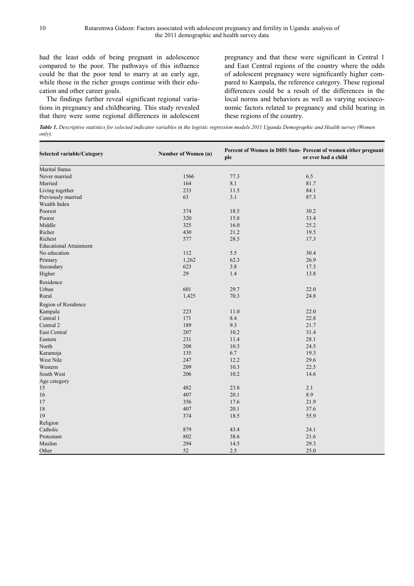had the least odds of being pregnant in adolescence compared to the poor. The pathways of this influence could be that the poor tend to marry at an early age, while those in the richer groups continue with their education and other career goals.

The findings further reveal significant regional variations in pregnancy and childbearing. This study revealed that there were some regional differences in adolescent

pregnancy and that these were significant in Central 1 and East Central regions of the country where the odds of adolescent pregnancy were significantly higher compared to Kampala, the reference category. These regional differences could be a result of the differences in the local norms and behaviors as well as varying socioeconomic factors related to pregnancy and child bearing in these regions of the country.

*Table 1. Descriptive statistics for selected indicator variables in the logistic regression models 2011 Uganda Demographic and Health survey (Women only).* 

| Selected variable/Category    | Number of Women (n) | ple  | Percent of Women in DHS Sam- Percent of women either pregnant<br>or ever had a child |  |
|-------------------------------|---------------------|------|--------------------------------------------------------------------------------------|--|
| <b>Marital Status</b>         |                     |      |                                                                                      |  |
| Never married                 | 1566                | 77.3 | 6.5                                                                                  |  |
| Married                       | 164                 | 8.1  | 81.7                                                                                 |  |
| Living together               | 233                 | 11.5 | 84.1                                                                                 |  |
| Previously married            | 63                  | 3.1  | 87.3                                                                                 |  |
| Wealth Index                  |                     |      |                                                                                      |  |
| Poorest                       | 374                 | 18.5 | 30.2                                                                                 |  |
| Poorer                        | 320                 | 15.8 | 33.4                                                                                 |  |
| Middle                        | 325                 | 16.0 | 25.2                                                                                 |  |
| Richer                        | 430                 | 21.2 | 19.5                                                                                 |  |
| Richest                       | 577                 | 28.5 | 17.3                                                                                 |  |
| <b>Educational Attainment</b> |                     |      |                                                                                      |  |
| No education                  | 112                 | 5.5  | 30.4                                                                                 |  |
| Primary                       | 1,262               | 62.3 | 26.9                                                                                 |  |
| Secondary                     | 623                 | 3.8  | 17.3                                                                                 |  |
| Higher                        | 29                  | 1.4  | 13.8                                                                                 |  |
| Residence                     |                     |      |                                                                                      |  |
| Urban                         | 601                 | 29.7 | 22.0                                                                                 |  |
| Rural                         | 1,425               | 70.3 | 24.8                                                                                 |  |
| Region of Residence           |                     |      |                                                                                      |  |
| Kampala                       | 223                 | 11.0 | 22.0                                                                                 |  |
| Central 1                     | 171                 | 8.4  | 22.8                                                                                 |  |
| Central 2                     | 189                 | 9.3  | 21.7                                                                                 |  |
| <b>East Central</b>           | 207                 | 10.2 | 31.4                                                                                 |  |
| Eastern                       | 231                 | 11.4 | 28.1                                                                                 |  |
| North                         | 208                 | 10.3 | 24.5                                                                                 |  |
| Karamoja                      | 135                 | 6.7  | 19.3                                                                                 |  |
| West Nile                     | 247                 | 12.2 | 29.6                                                                                 |  |
| Western                       | 209                 | 10.3 | 22.5                                                                                 |  |
| South West                    | 206                 | 10.2 | 14.6                                                                                 |  |
| Age category                  |                     |      |                                                                                      |  |
| 15                            | 482                 | 23.8 | 2.1                                                                                  |  |
| 16                            | 407                 | 20.1 | 8.9                                                                                  |  |
| $17\,$                        | 356                 | 17.6 | 21.9                                                                                 |  |
| 18                            | 407                 | 20.1 | 37.6                                                                                 |  |
| 19                            | 374                 | 18.5 | 55.9                                                                                 |  |
| Religion                      |                     |      |                                                                                      |  |
| Catholic                      | 879                 | 43.4 | 24.1                                                                                 |  |
| Protestant                    | 802                 | 38.6 | 21.6                                                                                 |  |
| Muslim                        | 294                 | 14.5 | 29.3                                                                                 |  |
| Other                         | 52                  | 2.5  | 25.0                                                                                 |  |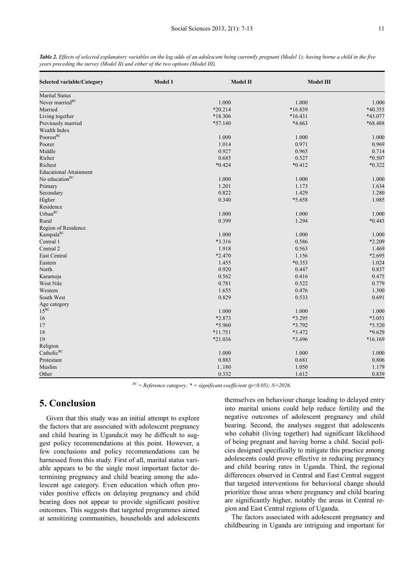| <b>Selected variable/Category</b> | Model 1 | Model II  | <b>Model III</b> |          |
|-----------------------------------|---------|-----------|------------------|----------|
| <b>Marital Status</b>             |         |           |                  |          |
| Never married <sup>RC</sup>       |         | 1.000     | 1.000            | 1.000    |
| Married                           |         | $*20.214$ | *16.839          | *40.355  |
| Living together                   |         | *18.306   | $*16.431$        | *43.077  |
| Previously married                |         | $*57.140$ | *4.663           | *68.488  |
| Wealth Index                      |         |           |                  |          |
| Poorest <sup>RC</sup>             |         | 1.000     | 1.000            | 1.000    |
| Poorer                            |         | 1.014     | 0.971            | 0.969    |
| Middle                            |         | 0.927     | 0.965            | 0.714    |
| Richer                            |         | 0.685     | 0.527            | $*0.507$ |
| Richest                           |         | $*0.424$  | $*0.412$         | $*0.322$ |
| <b>Educational Attainment</b>     |         |           |                  |          |
| No education <sup>RC</sup>        |         | 1.000     | 1.000            | 1.000    |
| Primary                           |         | 1.201     | 1.173            | 1.634    |
| Secondary                         |         | 0.822     | 1.429            | 1.280    |
| Higher                            |         | 0.340     | *5.658           | 1.085    |
| Residence                         |         |           |                  |          |
| Urban <sup>RC</sup>               |         | 1.000     | 1.000            | 1.000    |
| Rural                             |         | 0.399     | 1.294            | $*0.443$ |
| Region of Residence               |         |           |                  |          |
| Kampala <sup>RC</sup>             |         | 1.000     | 1.000            | 1.000    |
| Central 1                         |         | *3.316    | 0.586            | *2.209   |
| Central 2                         |         | 1.918     | 0.563            | 1.469    |
| East Central                      |         | $*2.470$  | 1.156            | *2.695   |
| Eastern                           |         | 1.455     | $*0.353$         | 1.024    |
| North                             |         | 0.920     | 0.447            | 0.837    |
| Karamoja                          |         | 0.562     | 0.416            | 0.475    |
| West Nile                         |         | 0.781     | 0.522            | 0.779    |
| Western                           |         | 1.655     | 0.476            | 1.300    |
| South West                        |         | 0.829     | 0.533            | 0.691    |
| Age category                      |         |           |                  |          |
| $15^{RC}$                         |         | 1.000     | 1.000            | 1.000    |
| $16\,$                            |         | $*2.873$  | *3.295           | *3.051   |
| 17                                |         | *5.960    | *3.792           | $*5.520$ |
| 18                                |         | $*11.751$ | *3.472           | $*9.629$ |
| 19                                |         | *21.036   | *3.696           | *16.169  |
| Religion                          |         |           |                  |          |
| Catholic <sup>RC</sup>            |         | 1.000     | 1.000            | 1.000    |
| Protestant                        |         | 0.883     | 0.681            | 0.806    |
| Muslim                            |         | 1.180     | 1.050            | 1.179    |
| Other                             |         | 0.332     | 1.612            | 0.839    |

*Table 2. Effects of selected explanatory variables on the log odds of an adolescent being currently pregnant (Model 1); having borne a child in the five years preceding the survey (Model II) and either of the two options (Model III).* 

 $R^{\text{R}} =$  *Reference category;*  $* =$  *significant coefficient (p*<0.05); *N*=2026.

# **5. Conclusion**

Given that this study was an initial attempt to explore the factors that are associated with adolescent pregnancy and child bearing in Uganda;it may be difficult to suggest policy recommendations at this point. However, a few conclusions and policy recommendations can be harnessed from this study. First of all, marital status variable appears to be the single most important factor determining pregnancy and child bearing among the adolescent age category. Even education which often provides positive effects on delaying pregnancy and child bearing does not appear to provide significant positive outcomes. This suggests that targeted programmes aimed at sensitizing communities, households and adolescents themselves on behaviour change leading to delayed entry into marital unions could help reduce fertility and the negative outcomes of adolescent pregnancy and child bearing. Second, the analyses suggest that adolescents who cohabit (living together) had significant likelihood of being pregnant and having borne a child. Social policies designed specifically to mitigate this practice among adolescents could prove effective in reducing pregnancy and child bearing rates in Uganda. Third, the regional differences observed in Central and East Central suggest that targeted interventions for behavioral change should prioritize those areas where pregnancy and child bearing are significantly higher, notably the areas in Central region and East Central regions of Uganda.

The factors associated with adolescent pregnancy and childbearing in Uganda are intriguing and important for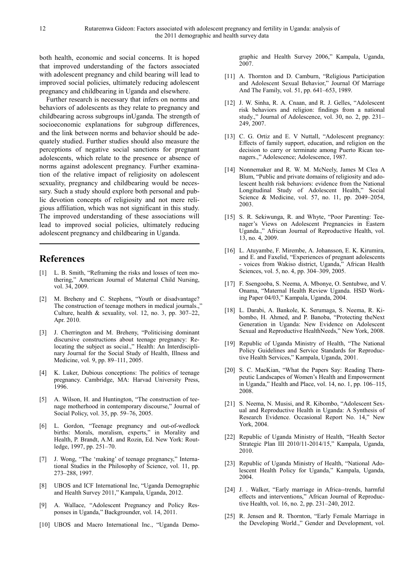both health, economic and social concerns. It is hoped that improved understanding of the factors associated with adolescent pregnancy and child bearing will lead to improved social policies, ultimately reducing adolescent pregnancy and childbearing in Uganda and elsewhere.

Further research is necessary that infers on norms and behaviors of adolescents as they relate to pregnancy and childbearing across subgroups inUganda. The strength of socioeconomic explanations for subgroup differences, and the link between norms and behavior should be adequately studied. Further studies should also measure the perceptions of negative social sanctions for pregnant adolescents, which relate to the presence or absence of norms against adolescent pregnancy. Further examination of the relative impact of religiosity on adolescent sexuality, pregnancy and childbearing would be necessary. Such a study should explore both personal and public devotion concepts of religiosity and not mere religious affiliation, which was not significant in this study. The improved understanding of these associations will lead to improved social policies, ultimately reducing adolescent pregnancy and childbearing in Uganda.

# **References**

- [1] L. B. Smith, "Reframing the risks and losses of teen mothering," American Journal of Maternal Child Nursing, vol. 34, 2009.
- [2] M. Breheny and C. Stephens, "Youth or disadvantage? The construction of teenage mothers in medical journals., Culture, health  $\&$  sexuality, vol. 12, no. 3, pp. 307–22, Apr. 2010.
- [3] J. Cherrington and M. Breheny, "Politicising dominant discursive constructions about teenage pregnancy: Relocating the subject as social.," Health: An Interdisciplinary Journal for the Social Study of Health, Illness and Medicine, vol. 9, pp. 89–111, 2005.
- [4] K. Luker, Dubious conceptions: The politics of teenage pregnancy. Cambridge, MA: Harvad University Press, 1996.
- [5] A. Wilson, H. and Huntington, "The construction of teenage motherhood in contemporary discourse," Journal of Social Policy, vol. 35, pp. 59–76, 2005.
- [6] L. Gordon, "Teenage pregnancy and out-of-wedlock births: Morals, moralism, experts," in Morality and Health, P. Brandt, A.M. and Rozin, Ed. New York: Routledge, 1997, pp. 251–70.
- [7] J. Wong, "The 'making' of teenage pregnancy," International Studies in the Philosophy of Science, vol. 11, pp. 273–288, 1997.
- [8] UBOS and ICF International Inc, "Uganda Demographic and Health Survey 2011," Kampala, Uganda, 2012.
- [9] A. Wallace, "Adolescent Pregnancy and Policy Responses in Uganda," Backgrounder, vol. 14, 2011.
- [10] UBOS and Macro International Inc., "Uganda Demo-

graphic and Health Survey 2006," Kampala, Uganda, 2007.

- [11] A. Thornton and D. Camburn, "Religious Participation and Adolescent Sexual Behavior," Journal Of Marriage And The Family, vol. 51, pp. 641–653, 1989.
- [12] J. W. Sinha, R. A. Cnaan, and R. J. Gelles, "Adolescent risk behaviors and religion: findings from a national study.," Journal of Adolescence, vol. 30, no. 2, pp. 231– 249, 2007.
- [13] C. G. Ortiz and E. V Nuttall, "Adolescent pregnancy: Effects of family support, education, and religion on the decision to carry or terminate among Puerto Rican teenagers.," Adolescence; Adolescence, 1987.
- [14] Nonnemaker and R. W. M. McNeely, James M Clea A Blum, "Public and private domains of religiosity and adolescent health risk behaviors: evidence from the National Longitudinal Study of Adolescent Health," Social Science & Medicine, vol. 57, no. 11, pp. 2049–2054, 2003.
- [15] S. R. Sekiwunga, R. and Whyte, "Poor Parenting: Teenager's Views on Adolescent Pregnancies in Eastern Uganda.," African Journal of Reproductive Health, vol. 13, no. 4, 2009.
- [16] L. Atuyambe, F. Mirembe, A. Johansson, E. K. Kirumira, and E. and Faxelid, "Experiences of pregnant adolescents - voices from Wakiso district, Uganda," African Health Sciences, vol. 5, no. 4, pp. 304–309, 2005.
- [17] F. Ssengooba, S. Neema, A. Mbonye, O. Sentubwe, and V. Onama, "Maternal Health Review Uganda. HSD Working Paper 04/03," Kampala, Uganda, 2004.
- [18] L. Darabi, A. Bankole, K. Serumaga, S. Neema, R. Kibombo, H. Ahmed, and P. Banoba, "Protecting theNext Generation in Uganda: New Evidence on Adolescent Sexual and Reproductive HealthNeeds," New York, 2008.
- [19] Republic of Uganda Ministry of Health, "The National Policy Guidelines and Service Standards for Reproductive Health Services," Kampala, Uganda, 2001.
- [20] S. C. MacKian, "What the Papers Say: Reading Therapeutic Landscapes of Women's Health and Empowerment in Uganda," Health and Place, vol. 14, no. 1, pp. 106–115, 2008.
- [21] S. Neema, N. Musisi, and R. Kibombo, "Adolescent Sexual and Reproductive Health in Uganda: A Synthesis of Research Evidence. Occasional Report No. 14," New York, 2004.
- [22] Republic of Uganda Ministry of Health, "Health Sector Strategic Plan III 2010/11-2014/15," Kampala, Uganda, 2010.
- [23] Republic of Uganda Ministry of Health, "National Adolescent Health Policy for Uganda," Kampala, Uganda, 2004.
- [24] J. . Walker, "Early marriage in Africa--trends, harmful effects and interventions," African Journal of Reproductive Health, vol. 16, no. 2, pp. 231–240, 2012.
- [25] R. Jensen and R. Thornton, "Early Female Marriage in the Developing World.," Gender and Development, vol.